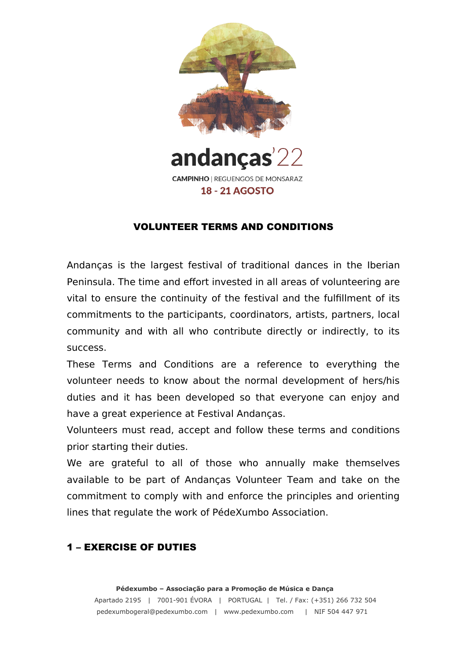

andanças **CAMPINHO | REGUENGOS DE MONSARAZ 18 - 21 AGOSTO** 

#### VOLUNTEER TERMS AND CONDITIONS

Andanças is the largest festival of traditional dances in the Iberian Peninsula. The time and effort invested in all areas of volunteering are vital to ensure the continuity of the festival and the fulfillment of its commitments to the participants, coordinators, artists, partners, local community and with all who contribute directly or indirectly, to its success.

These Terms and Conditions are a reference to everything the volunteer needs to know about the normal development of hers/his duties and it has been developed so that everyone can enjoy and have a great experience at Festival Andanças.

Volunteers must read, accept and follow these terms and conditions prior starting their duties.

We are grateful to all of those who annually make themselves available to be part of Andanças Volunteer Team and take on the commitment to comply with and enforce the principles and orienting lines that regulate the work of PédeXumbo Association.

#### 1 – EXERCISE OF DUTIES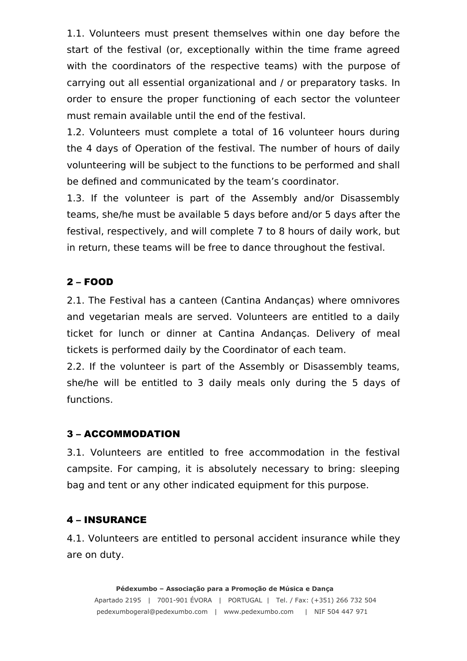1.1. Volunteers must present themselves within one day before the start of the festival (or, exceptionally within the time frame agreed with the coordinators of the respective teams) with the purpose of carrying out all essential organizational and / or preparatory tasks. In order to ensure the proper functioning of each sector the volunteer must remain available until the end of the festival.

1.2. Volunteers must complete a total of 16 volunteer hours during the 4 days of Operation of the festival. The number of hours of daily volunteering will be subject to the functions to be performed and shall be defined and communicated by the team's coordinator.

1.3. If the volunteer is part of the Assembly and/or Disassembly teams, she/he must be available 5 days before and/or 5 days after the festival, respectively, and will complete 7 to 8 hours of daily work, but in return, these teams will be free to dance throughout the festival.

# 2 – FOOD

2.1. The Festival has a canteen (Cantina Andanças) where omnivores and vegetarian meals are served. Volunteers are entitled to a daily ticket for lunch or dinner at Cantina Andanças. Delivery of meal tickets is performed daily by the Coordinator of each team.

2.2. If the volunteer is part of the Assembly or Disassembly teams, she/he will be entitled to 3 daily meals only during the 5 days of functions.

### 3 – ACCOMMODATION

3.1. Volunteers are entitled to free accommodation in the festival campsite. For camping, it is absolutely necessary to bring: sleeping bag and tent or any other indicated equipment for this purpose.

### 4 – INSURANCE

4.1. Volunteers are entitled to personal accident insurance while they are on duty.